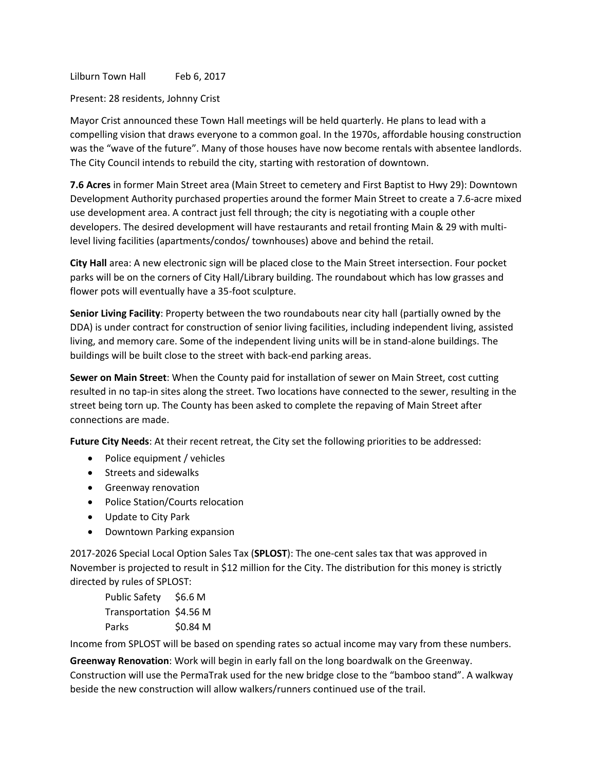Lilburn Town Hall Feb 6, 2017

## Present: 28 residents, Johnny Crist

Mayor Crist announced these Town Hall meetings will be held quarterly. He plans to lead with a compelling vision that draws everyone to a common goal. In the 1970s, affordable housing construction was the "wave of the future". Many of those houses have now become rentals with absentee landlords. The City Council intends to rebuild the city, starting with restoration of downtown.

**7.6 Acres** in former Main Street area (Main Street to cemetery and First Baptist to Hwy 29): Downtown Development Authority purchased properties around the former Main Street to create a 7.6-acre mixed use development area. A contract just fell through; the city is negotiating with a couple other developers. The desired development will have restaurants and retail fronting Main & 29 with multilevel living facilities (apartments/condos/ townhouses) above and behind the retail.

**City Hall** area: A new electronic sign will be placed close to the Main Street intersection. Four pocket parks will be on the corners of City Hall/Library building. The roundabout which has low grasses and flower pots will eventually have a 35-foot sculpture.

**Senior Living Facility**: Property between the two roundabouts near city hall (partially owned by the DDA) is under contract for construction of senior living facilities, including independent living, assisted living, and memory care. Some of the independent living units will be in stand-alone buildings. The buildings will be built close to the street with back-end parking areas.

**Sewer on Main Street**: When the County paid for installation of sewer on Main Street, cost cutting resulted in no tap-in sites along the street. Two locations have connected to the sewer, resulting in the street being torn up. The County has been asked to complete the repaving of Main Street after connections are made.

**Future City Needs**: At their recent retreat, the City set the following priorities to be addressed:

- Police equipment / vehicles
- Streets and sidewalks
- **•** Greenway renovation
- Police Station/Courts relocation
- Update to City Park
- Downtown Parking expansion

2017-2026 Special Local Option Sales Tax (**SPLOST**): The one-cent sales tax that was approved in November is projected to result in \$12 million for the City. The distribution for this money is strictly directed by rules of SPLOST:

Public Safety \$6.6 M Transportation \$4.56 M Parks \$0.84 M

Income from SPLOST will be based on spending rates so actual income may vary from these numbers.

**Greenway Renovation**: Work will begin in early fall on the long boardwalk on the Greenway. Construction will use the PermaTrak used for the new bridge close to the "bamboo stand". A walkway beside the new construction will allow walkers/runners continued use of the trail.